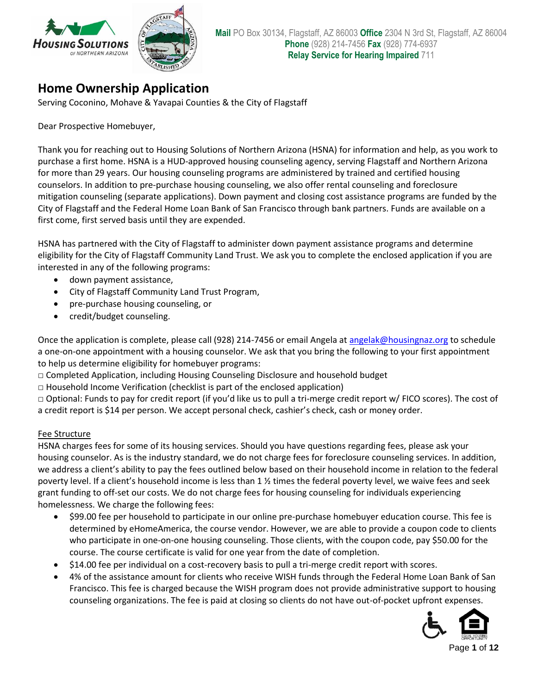

## **Home Ownership Application**

Serving Coconino, Mohave & Yavapai Counties & the City of Flagstaff

Dear Prospective Homebuyer,

Thank you for reaching out to Housing Solutions of Northern Arizona (HSNA) for information and help, as you work to purchase a first home. HSNA is a HUD-approved housing counseling agency, serving Flagstaff and Northern Arizona for more than 29 years. Our housing counseling programs are administered by trained and certified housing counselors. In addition to pre-purchase housing counseling, we also offer rental counseling and foreclosure mitigation counseling (separate applications). Down payment and closing cost assistance programs are funded by the City of Flagstaff and the Federal Home Loan Bank of San Francisco through bank partners. Funds are available on a first come, first served basis until they are expended.

HSNA has partnered with the City of Flagstaff to administer down payment assistance programs and determine eligibility for the City of Flagstaff Community Land Trust. We ask you to complete the enclosed application if you are interested in any of the following programs:

- down payment assistance,
- City of Flagstaff Community Land Trust Program,
- pre-purchase housing counseling, or
- credit/budget counseling.

Once the application is complete, please call (928) 214-7456 or email Angela at [angelak@housingnaz.org](mailto:angelak@housingnaz.org) to schedule a one-on-one appointment with a housing counselor. We ask that you bring the following to your first appointment to help us determine eligibility for homebuyer programs:

- □ Completed Application, including Housing Counseling Disclosure and household budget
- $\Box$  Household Income Verification (checklist is part of the enclosed application)

□ Optional: Funds to pay for credit report (if you'd like us to pull a tri-merge credit report w/ FICO scores). The cost of a credit report is \$14 per person. We accept personal check, cashier's check, cash or money order.

### Fee Structure

HSNA charges fees for some of its housing services. Should you have questions regarding fees, please ask your housing counselor. As is the industry standard, we do not charge fees for foreclosure counseling services. In addition, we address a client's ability to pay the fees outlined below based on their household income in relation to the federal poverty level. If a client's household income is less than 1 ½ times the federal poverty level, we waive fees and seek grant funding to off-set our costs. We do not charge fees for housing counseling for individuals experiencing homelessness. We charge the following fees:

- \$99.00 fee per household to participate in our online pre-purchase homebuyer education course. This fee is determined by eHomeAmerica, the course vendor. However, we are able to provide a coupon code to clients who participate in one-on-one housing counseling. Those clients, with the coupon code, pay \$50.00 for the course. The course certificate is valid for one year from the date of completion.
- \$14.00 fee per individual on a cost-recovery basis to pull a tri-merge credit report with scores.
- 4% of the assistance amount for clients who receive WISH funds through the Federal Home Loan Bank of San Francisco. This fee is charged because the WISH program does not provide administrative support to housing counseling organizations. The fee is paid at closing so clients do not have out-of-pocket upfront expenses.

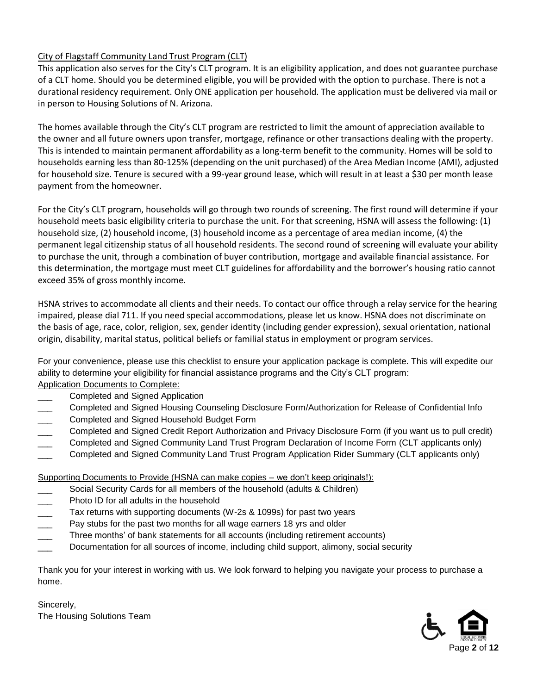### City of Flagstaff Community Land Trust Program (CLT)

This application also serves for the City's CLT program. It is an eligibility application, and does not guarantee purchase of a CLT home. Should you be determined eligible, you will be provided with the option to purchase. There is not a durational residency requirement. Only ONE application per household. The application must be delivered via mail or in person to Housing Solutions of N. Arizona.

The homes available through the City's CLT program are restricted to limit the amount of appreciation available to the owner and all future owners upon transfer, mortgage, refinance or other transactions dealing with the property. This is intended to maintain permanent affordability as a long-term benefit to the community. Homes will be sold to households earning less than 80-125% (depending on the unit purchased) of the Area Median Income (AMI), adjusted for household size. Tenure is secured with a 99-year ground lease, which will result in at least a \$30 per month lease payment from the homeowner.

For the City's CLT program, households will go through two rounds of screening. The first round will determine if your household meets basic eligibility criteria to purchase the unit. For that screening, HSNA will assess the following: (1) household size, (2) household income, (3) household income as a percentage of area median income, (4) the permanent legal citizenship status of all household residents. The second round of screening will evaluate your ability to purchase the unit, through a combination of buyer contribution, mortgage and available financial assistance. For this determination, the mortgage must meet CLT guidelines for affordability and the borrower's housing ratio cannot exceed 35% of gross monthly income.

HSNA strives to accommodate all clients and their needs. To contact our office through a relay service for the hearing impaired, please dial 711. If you need special accommodations, please let us know. HSNA does not discriminate on the basis of age, race, color, religion, sex, gender identity (including gender expression), sexual orientation, national origin, disability, marital status, political beliefs or familial status in employment or program services.

For your convenience, please use this checklist to ensure your application package is complete. This will expedite our ability to determine your eligibility for financial assistance programs and the City's CLT program: Application Documents to Complete:

- Completed and Signed Application
- \_\_\_ Completed and Signed Housing Counseling Disclosure Form/Authorization for Release of Confidential Info
- \_\_\_ Completed and Signed Household Budget Form
- \_\_\_ Completed and Signed Credit Report Authorization and Privacy Disclosure Form (if you want us to pull credit)
- Completed and Signed Community Land Trust Program Declaration of Income Form (CLT applicants only)
- Completed and Signed Community Land Trust Program Application Rider Summary (CLT applicants only)

Supporting Documents to Provide (HSNA can make copies – we don't keep originals!):

- Social Security Cards for all members of the household (adults & Children)
- Photo ID for all adults in the household
- Tax returns with supporting documents (W-2s & 1099s) for past two years
- Pay stubs for the past two months for all wage earners 18 yrs and older
- Three months' of bank statements for all accounts (including retirement accounts)
- Documentation for all sources of income, including child support, alimony, social security

Thank you for your interest in working with us. We look forward to helping you navigate your process to purchase a home.

Sincerely, The Housing Solutions Team

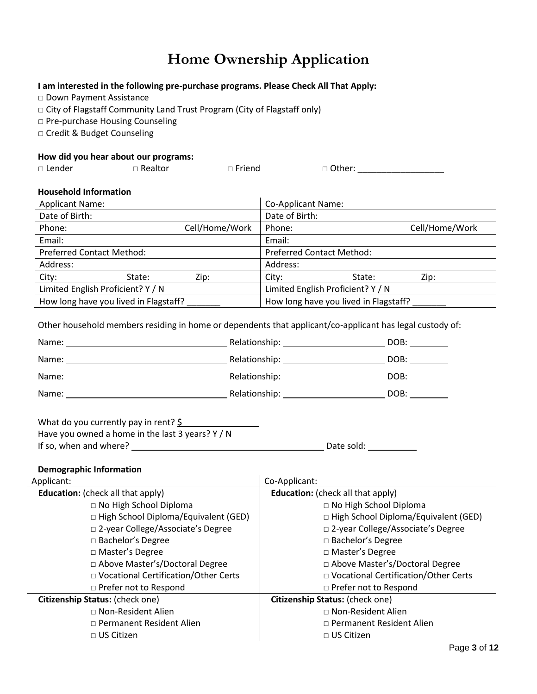# **Home Ownership Application**

#### **I am interested in the following pre-purchase programs. Please Check All That Apply:**

□ Down Payment Assistance

□ City of Flagstaff Community Land Trust Program (City of Flagstaff only)

□ Pre-purchase Housing Counseling

□ Credit & Budget Counseling

#### **How did you hear about our programs:**

| □ Lender           | ___<br>$\Box$ Realtor | $\Box$ Friend | □ Other: |  |
|--------------------|-----------------------|---------------|----------|--|
| $\sim$ $\sim$<br>. | - -                   |               |          |  |

### **Household Information**

| <b>Applicant Name:</b>                |        |                | Co-Applicant Name:                    |                |
|---------------------------------------|--------|----------------|---------------------------------------|----------------|
| Date of Birth:                        |        |                | Date of Birth:                        |                |
| Phone:                                |        | Cell/Home/Work | Phone:                                | Cell/Home/Work |
| Email:                                |        |                | Email:                                |                |
| <b>Preferred Contact Method:</b>      |        |                | <b>Preferred Contact Method:</b>      |                |
| Address:                              |        |                | Address:                              |                |
| City:                                 | State: | Zip:           | State:<br>City:                       | Zip:           |
| Limited English Proficient? Y / N     |        |                | Limited English Proficient? Y / N     |                |
| How long have you lived in Flagstaff? |        |                | How long have you lived in Flagstaff? |                |

Other household members residing in home or dependents that applicant/co-applicant has legal custody of:

| Name: | Relationship: | DOB: |
|-------|---------------|------|
| Name: | Relationship: | DOB: |
| Name: | Relationship: | DOB: |
| Name: | Relationship: | DOB: |

| What do you currently pay in rent? $\frac{1}{5}$ |  |
|--------------------------------------------------|--|
| Have you owned a home in the last 3 years? Y / N |  |
| If so, when and where?                           |  |

**IF SO, When and SO are sold:** <u>Conservation</u>

#### **Demographic Information**

| Applicant:                                  | Co-Applicant:                               |
|---------------------------------------------|---------------------------------------------|
| <b>Education:</b> (check all that apply)    | <b>Education:</b> (check all that apply)    |
| □ No High School Diploma                    | □ No High School Diploma                    |
| $\Box$ High School Diploma/Equivalent (GED) | $\Box$ High School Diploma/Equivalent (GED) |
| □ 2-year College/Associate's Degree         | □ 2-year College/Associate's Degree         |
| $\Box$ Bachelor's Degree                    | □ Bachelor's Degree                         |
| □ Master's Degree                           | □ Master's Degree                           |
| □ Above Master's/Doctoral Degree            | □ Above Master's/Doctoral Degree            |
| □ Vocational Certification/Other Certs      | □ Vocational Certification/Other Certs      |
| □ Prefer not to Respond                     | □ Prefer not to Respond                     |
| Citizenship Status: (check one)             | Citizenship Status: (check one)             |
| $\Box$ Non-Resident Alien                   | $\Box$ Non-Resident Alien                   |
| □ Permanent Resident Alien                  | □ Permanent Resident Alien                  |
| $\Box$ US Citizen                           | $\Box$ US Citizen                           |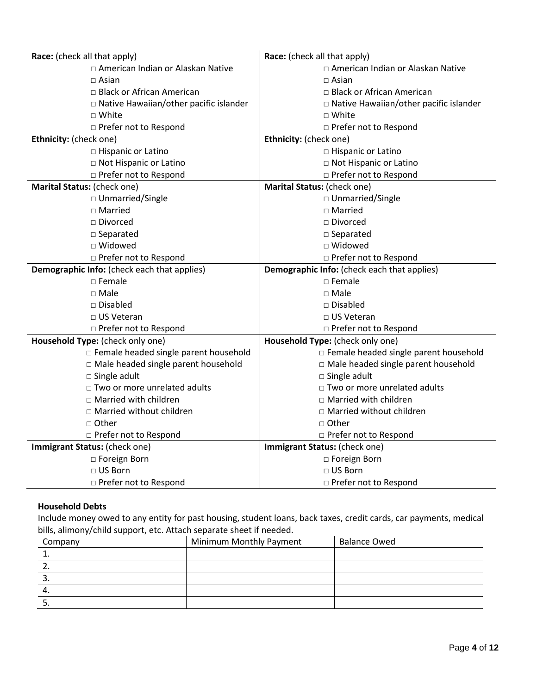| Race: (check all that apply)                  | Race: (check all that apply)                |  |
|-----------------------------------------------|---------------------------------------------|--|
| □ American Indian or Alaskan Native           | □ American Indian or Alaskan Native         |  |
| $\Box$ Asian                                  | $\sqcap$ Asian                              |  |
| □ Black or African American                   | □ Black or African American                 |  |
| $\Box$ Native Hawaiian/other pacific islander | □ Native Hawaiian/other pacific islander    |  |
| $\Box$ White                                  | □ White                                     |  |
| □ Prefer not to Respond                       | □ Prefer not to Respond                     |  |
| Ethnicity: (check one)                        | Ethnicity: (check one)                      |  |
| □ Hispanic or Latino                          | □ Hispanic or Latino                        |  |
| □ Not Hispanic or Latino                      | □ Not Hispanic or Latino                    |  |
| □ Prefer not to Respond                       | □ Prefer not to Respond                     |  |
| Marital Status: (check one)                   | Marital Status: (check one)                 |  |
| □ Unmarried/Single                            | □ Unmarried/Single                          |  |
| $\square$ Married                             | $\square$ Married                           |  |
| □ Divorced                                    | □ Divorced                                  |  |
| □ Separated                                   | □ Separated                                 |  |
| □ Widowed                                     | □ Widowed                                   |  |
| □ Prefer not to Respond                       | □ Prefer not to Respond                     |  |
| Demographic Info: (check each that applies)   | Demographic Info: (check each that applies) |  |
| $\Box$ Female                                 | $\square$ Female                            |  |
| $\Box$ Male                                   | $\sqcap$ Male                               |  |
| $\Box$ Disabled                               | □ Disabled                                  |  |
| $\sqcap$ US Veteran                           | $\Box$ US Veteran                           |  |
| □ Prefer not to Respond                       | □ Prefer not to Respond                     |  |
| Household Type: (check only one)              | Household Type: (check only one)            |  |
| □ Female headed single parent household       | □ Female headed single parent household     |  |
| □ Male headed single parent household         | □ Male headed single parent household       |  |
| □ Single adult                                | $\square$ Single adult                      |  |
| □ Two or more unrelated adults                | □ Two or more unrelated adults              |  |
| □ Married with children                       | $\Box$ Married with children                |  |
| □ Married without children                    | □ Married without children                  |  |
| □ Other                                       | □ Other                                     |  |
| □ Prefer not to Respond                       | □ Prefer not to Respond                     |  |
| Immigrant Status: (check one)                 | Immigrant Status: (check one)               |  |
| □ Foreign Born                                | □ Foreign Born                              |  |
| □ US Born                                     | □ US Born                                   |  |
| □ Prefer not to Respond                       | □ Prefer not to Respond                     |  |

### **Household Debts**

Include money owed to any entity for past housing, student loans, back taxes, credit cards, car payments, medical bills, alimony/child support, etc. Attach separate sheet if needed.

| Company | Minimum Monthly Payment | <b>Balance Owed</b> |
|---------|-------------------------|---------------------|
|         |                         |                     |
|         |                         |                     |
|         |                         |                     |
|         |                         |                     |
|         |                         |                     |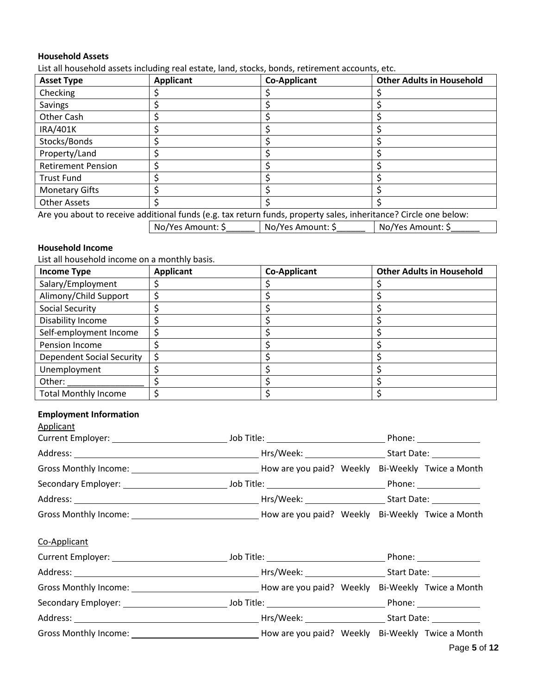#### **Household Assets**

List all household assets including real estate, land, stocks, bonds, retirement accounts, etc.

| <b>Asset Type</b>                                                                                                | <b>Applicant</b>  | <b>Co-Applicant</b> | <b>Other Adults in Household</b> |
|------------------------------------------------------------------------------------------------------------------|-------------------|---------------------|----------------------------------|
| Checking                                                                                                         |                   |                     |                                  |
| Savings                                                                                                          |                   |                     |                                  |
| <b>Other Cash</b>                                                                                                |                   |                     |                                  |
| IRA/401K                                                                                                         |                   |                     |                                  |
| Stocks/Bonds                                                                                                     |                   |                     |                                  |
| Property/Land                                                                                                    |                   |                     |                                  |
| <b>Retirement Pension</b>                                                                                        |                   |                     |                                  |
| <b>Trust Fund</b>                                                                                                |                   |                     |                                  |
| <b>Monetary Gifts</b>                                                                                            |                   |                     |                                  |
| <b>Other Assets</b>                                                                                              |                   |                     |                                  |
| Are you about to receive additional funds (e.g. tax return funds, property sales, inheritance? Circle one below: |                   |                     |                                  |
|                                                                                                                  | No/Yes Amount: \$ | No/Yes Amount: \$   | No/Yes Amount: \$                |

### **Household Income**

List all household income on a monthly basis.

| <b>Income Type</b>               | <b>Applicant</b> | <b>Co-Applicant</b> | <b>Other Adults in Household</b> |
|----------------------------------|------------------|---------------------|----------------------------------|
| Salary/Employment                |                  |                     |                                  |
| Alimony/Child Support            |                  |                     |                                  |
| Social Security                  |                  |                     |                                  |
| Disability Income                |                  |                     |                                  |
| Self-employment Income           |                  |                     |                                  |
| Pension Income                   |                  |                     |                                  |
| <b>Dependent Social Security</b> |                  |                     |                                  |
| Unemployment                     |                  |                     |                                  |
| Other:                           |                  |                     |                                  |
| <b>Total Monthly Income</b>      |                  |                     |                                  |

### **Employment Information**

| Applicant    |                                                                                                                                 |
|--------------|---------------------------------------------------------------------------------------------------------------------------------|
|              |                                                                                                                                 |
|              |                                                                                                                                 |
|              | Gross Monthly Income: 1980 1991 100 How are you paid? Weekly Bi-Weekly Twice a Month                                            |
|              |                                                                                                                                 |
|              |                                                                                                                                 |
|              |                                                                                                                                 |
| Co-Applicant |                                                                                                                                 |
|              |                                                                                                                                 |
|              |                                                                                                                                 |
|              |                                                                                                                                 |
|              |                                                                                                                                 |
|              |                                                                                                                                 |
|              | Gross Monthly Income: 1990 1990 Month 2009 2009 2009 Month 2009 2009 2009 2009 How are you paid? Weekly Bi-Weekly Twice a Month |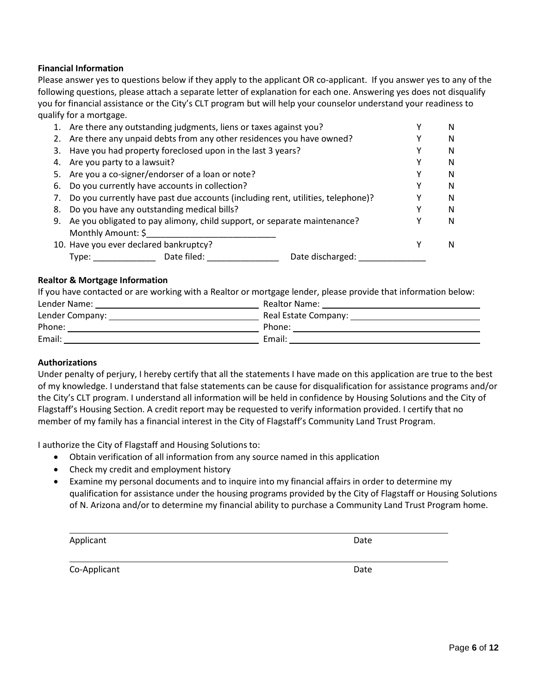#### **Financial Information**

Please answer yes to questions below if they apply to the applicant OR co-applicant. If you answer yes to any of the following questions, please attach a separate letter of explanation for each one. Answering yes does not disqualify you for financial assistance or the City's CLT program but will help your counselor understand your readiness to qualify for a mortgage.

|    | 1. Are there any outstanding judgments, liens or taxes against you?             | N |
|----|---------------------------------------------------------------------------------|---|
|    | 2. Are there any unpaid debts from any other residences you have owned?         | N |
|    | 3. Have you had property foreclosed upon in the last 3 years?                   | N |
|    | 4. Are you party to a lawsuit?                                                  | N |
|    | 5. Are you a co-signer/endorser of a loan or note?                              | N |
|    | 6. Do you currently have accounts in collection?                                | N |
| 7. | Do you currently have past due accounts (including rent, utilities, telephone)? | N |
| 8. | Do you have any outstanding medical bills?                                      | N |
|    | 9. Ae you obligated to pay alimony, child support, or separate maintenance?     | N |
|    | Monthly Amount: \$                                                              |   |
|    | 10. Have you ever declared bankruptcy?                                          | N |
|    | Date filed:<br>Date discharged:<br>$Type:$ $\_$                                 |   |

#### **Realtor & Mortgage Information**

If you have contacted or are working with a Realtor or mortgage lender, please provide that information below:

| Lender Name:    | Realtor Name:        |
|-----------------|----------------------|
| Lender Company: | Real Estate Company: |
| Phone:          | Phone:               |
| Email:          | Email:               |

#### **Authorizations**

Under penalty of perjury, I hereby certify that all the statements I have made on this application are true to the best of my knowledge. I understand that false statements can be cause for disqualification for assistance programs and/or the City's CLT program. I understand all information will be held in confidence by Housing Solutions and the City of Flagstaff's Housing Section. A credit report may be requested to verify information provided. I certify that no member of my family has a financial interest in the City of Flagstaff's Community Land Trust Program.

I authorize the City of Flagstaff and Housing Solutions to:

- Obtain verification of all information from any source named in this application
- Check my credit and employment history
- Examine my personal documents and to inquire into my financial affairs in order to determine my qualification for assistance under the housing programs provided by the City of Flagstaff or Housing Solutions of N. Arizona and/or to determine my financial ability to purchase a Community Land Trust Program home.

| Applicant    | Date |
|--------------|------|
| Co-Applicant | Date |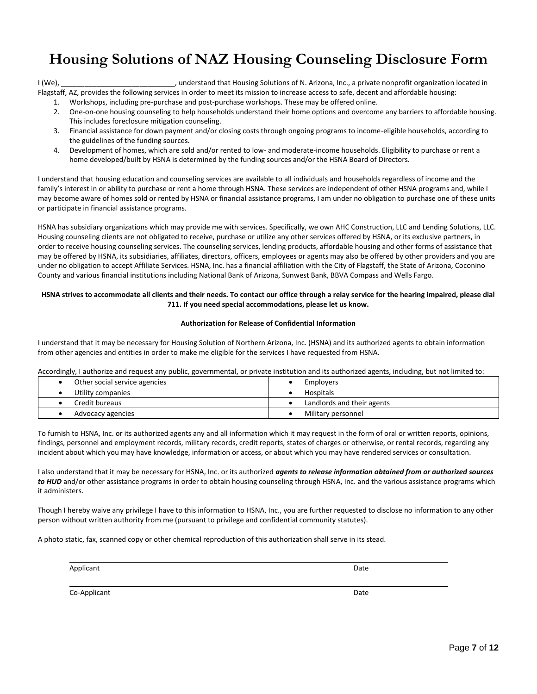# **Housing Solutions of NAZ Housing Counseling Disclosure Form**

I (We), \_\_\_\_\_\_\_\_\_\_\_\_\_\_\_\_\_\_\_\_\_\_\_\_\_\_\_\_\_, understand that Housing Solutions of N. Arizona, Inc., a private nonprofit organization located in Flagstaff, AZ, provides the following services in order to meet its mission to increase access to safe, decent and affordable housing:

1. Workshops, including pre-purchase and post-purchase workshops. These may be offered online.

- 2. One-on-one housing counseling to help households understand their home options and overcome any barriers to affordable housing. This includes foreclosure mitigation counseling.
- 3. Financial assistance for down payment and/or closing costs through ongoing programs to income-eligible households, according to the guidelines of the funding sources.
- 4. Development of homes, which are sold and/or rented to low- and moderate-income households. Eligibility to purchase or rent a home developed/built by HSNA is determined by the funding sources and/or the HSNA Board of Directors.

I understand that housing education and counseling services are available to all individuals and households regardless of income and the family's interest in or ability to purchase or rent a home through HSNA. These services are independent of other HSNA programs and, while I may become aware of homes sold or rented by HSNA or financial assistance programs, I am under no obligation to purchase one of these units or participate in financial assistance programs.

HSNA has subsidiary organizations which may provide me with services. Specifically, we own AHC Construction, LLC and Lending Solutions, LLC. Housing counseling clients are not obligated to receive, purchase or utilize any other services offered by HSNA, or its exclusive partners, in order to receive housing counseling services. The counseling services, lending products, affordable housing and other forms of assistance that may be offered by HSNA, its subsidiaries, affiliates, directors, officers, employees or agents may also be offered by other providers and you are under no obligation to accept Affiliate Services. HSNA, Inc. has a financial affiliation with the City of Flagstaff, the State of Arizona, Coconino County and various financial institutions including National Bank of Arizona, Sunwest Bank, BBVA Compass and Wells Fargo.

#### **HSNA strives to accommodate all clients and their needs. To contact our office through a relay service for the hearing impaired, please dial 711. If you need special accommodations, please let us know.**

#### **Authorization for Release of Confidential Information**

I understand that it may be necessary for Housing Solution of Northern Arizona, Inc. (HSNA) and its authorized agents to obtain information from other agencies and entities in order to make me eligible for the services I have requested from HSNA.

Accordingly, I authorize and request any public, governmental, or private institution and its authorized agents, including, but not limited to:

| Other social service agencies | Employers                  |
|-------------------------------|----------------------------|
| Utility companies             | Hospitals                  |
| Credit bureaus                | Landlords and their agents |
| Advocacy agencies             | Military personnel         |

To furnish to HSNA, Inc. or its authorized agents any and all information which it may request in the form of oral or written reports, opinions, findings, personnel and employment records, military records, credit reports, states of charges or otherwise, or rental records, regarding any incident about which you may have knowledge, information or access, or about which you may have rendered services or consultation.

I also understand that it may be necessary for HSNA, Inc. or its authorized *agents to release information obtained from or authorized sources to HUD* and/or other assistance programs in order to obtain housing counseling through HSNA, Inc. and the various assistance programs which it administers.

Though I hereby waive any privilege I have to this information to HSNA, Inc., you are further requested to disclose no information to any other person without written authority from me (pursuant to privilege and confidential community statutes).

A photo static, fax, scanned copy or other chemical reproduction of this authorization shall serve in its stead.

Applicant Date

Co-Applicant Date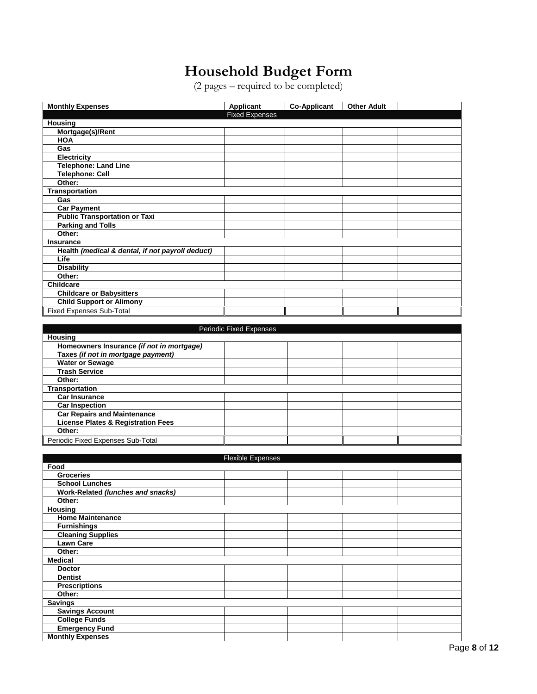## **Household Budget Form**

(2 pages – required to be completed)

| <b>Monthly Expenses</b>                          | <b>Applicant</b>        | <b>Co-Applicant</b> | <b>Other Adult</b> |  |
|--------------------------------------------------|-------------------------|---------------------|--------------------|--|
|                                                  | <b>Fixed Expenses</b>   |                     |                    |  |
| <b>Housing</b>                                   |                         |                     |                    |  |
| Mortgage(s)/Rent                                 |                         |                     |                    |  |
| <b>HOA</b>                                       |                         |                     |                    |  |
| Gas                                              |                         |                     |                    |  |
| <b>Electricity</b>                               |                         |                     |                    |  |
| <b>Telephone: Land Line</b>                      |                         |                     |                    |  |
| <b>Telephone: Cell</b>                           |                         |                     |                    |  |
| Other:                                           |                         |                     |                    |  |
| Transportation                                   |                         |                     |                    |  |
| Gas                                              |                         |                     |                    |  |
| <b>Car Payment</b>                               |                         |                     |                    |  |
| <b>Public Transportation or Taxi</b>             |                         |                     |                    |  |
| <b>Parking and Tolls</b>                         |                         |                     |                    |  |
| Other:                                           |                         |                     |                    |  |
| Insurance                                        |                         |                     |                    |  |
| Health (medical & dental, if not payroll deduct) |                         |                     |                    |  |
| Life                                             |                         |                     |                    |  |
| <b>Disability</b>                                |                         |                     |                    |  |
| Other:                                           |                         |                     |                    |  |
| <b>Childcare</b>                                 |                         |                     |                    |  |
| <b>Childcare or Babysitters</b>                  |                         |                     |                    |  |
| <b>Child Support or Alimony</b>                  |                         |                     |                    |  |
| <b>Fixed Expenses Sub-Total</b>                  |                         |                     |                    |  |
|                                                  |                         |                     |                    |  |
|                                                  | Periodic Fixed Expenses |                     |                    |  |
| <b>Housing</b>                                   |                         |                     |                    |  |
| Homeowners Insurance (if not in mortgage)        |                         |                     |                    |  |
| Taxes (if not in mortgage payment)               |                         |                     |                    |  |
| <b>Water or Sewage</b>                           |                         |                     |                    |  |
| <b>Trash Service</b>                             |                         |                     |                    |  |

| Other:                                        |  |  |
|-----------------------------------------------|--|--|
| <b>Transportation</b>                         |  |  |
| <b>Car Insurance</b>                          |  |  |
| <b>Car Inspection</b>                         |  |  |
| <b>Car Repairs and Maintenance</b>            |  |  |
| <b>License Plates &amp; Registration Fees</b> |  |  |
| Other:                                        |  |  |
| Periodic Fixed Expenses Sub-Total             |  |  |

|                                   | <b>Flexible Expenses</b> |  |  |  |
|-----------------------------------|--------------------------|--|--|--|
| Food                              |                          |  |  |  |
| <b>Groceries</b>                  |                          |  |  |  |
| <b>School Lunches</b>             |                          |  |  |  |
| Work-Related (lunches and snacks) |                          |  |  |  |
| Other:                            |                          |  |  |  |
| <b>Housing</b>                    |                          |  |  |  |
| <b>Home Maintenance</b>           |                          |  |  |  |
| <b>Furnishings</b>                |                          |  |  |  |
| <b>Cleaning Supplies</b>          |                          |  |  |  |
| <b>Lawn Care</b>                  |                          |  |  |  |
| Other:                            |                          |  |  |  |
| <b>Medical</b>                    |                          |  |  |  |
| <b>Doctor</b>                     |                          |  |  |  |
| <b>Dentist</b>                    |                          |  |  |  |
| <b>Prescriptions</b>              |                          |  |  |  |
| Other:                            |                          |  |  |  |
| <b>Savings</b>                    |                          |  |  |  |
| <b>Savings Account</b>            |                          |  |  |  |
| <b>College Funds</b>              |                          |  |  |  |
| <b>Emergency Fund</b>             |                          |  |  |  |
| <b>Monthly Expenses</b>           |                          |  |  |  |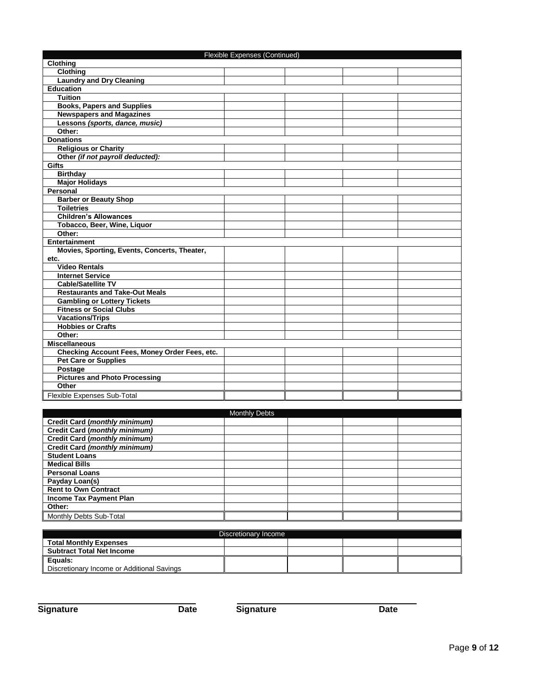| Flexible Expenses (Continued)                 |               |  |  |  |
|-----------------------------------------------|---------------|--|--|--|
| Clothing                                      |               |  |  |  |
| <b>Clothing</b>                               |               |  |  |  |
| <b>Laundry and Dry Cleaning</b>               |               |  |  |  |
| <b>Education</b>                              |               |  |  |  |
| <b>Tuition</b>                                |               |  |  |  |
| <b>Books, Papers and Supplies</b>             |               |  |  |  |
| <b>Newspapers and Magazines</b>               |               |  |  |  |
| Lessons (sports, dance, music)                |               |  |  |  |
| Other:                                        |               |  |  |  |
| <b>Donations</b>                              |               |  |  |  |
| <b>Religious or Charity</b>                   |               |  |  |  |
| Other (if not payroll deducted):              |               |  |  |  |
| Gifts                                         |               |  |  |  |
| <b>Birthday</b>                               |               |  |  |  |
| <b>Major Holidays</b>                         |               |  |  |  |
| Personal                                      |               |  |  |  |
| <b>Barber or Beauty Shop</b>                  |               |  |  |  |
| <b>Toiletries</b>                             |               |  |  |  |
| <b>Children's Allowances</b>                  |               |  |  |  |
| Tobacco, Beer, Wine, Liquor                   |               |  |  |  |
| Other:                                        |               |  |  |  |
| <b>Entertainment</b>                          |               |  |  |  |
| Movies, Sporting, Events, Concerts, Theater,  |               |  |  |  |
| etc.                                          |               |  |  |  |
| <b>Video Rentals</b>                          |               |  |  |  |
| <b>Internet Service</b>                       |               |  |  |  |
| <b>Cable/Satellite TV</b>                     |               |  |  |  |
| <b>Restaurants and Take-Out Meals</b>         |               |  |  |  |
| <b>Gambling or Lottery Tickets</b>            |               |  |  |  |
| <b>Fitness or Social Clubs</b>                |               |  |  |  |
| <b>Vacations/Trips</b>                        |               |  |  |  |
| <b>Hobbies or Crafts</b>                      |               |  |  |  |
| Other:                                        |               |  |  |  |
| <b>Miscellaneous</b>                          |               |  |  |  |
| Checking Account Fees, Money Order Fees, etc. |               |  |  |  |
| <b>Pet Care or Supplies</b>                   |               |  |  |  |
| Postage                                       |               |  |  |  |
| <b>Pictures and Photo Processing</b>          |               |  |  |  |
| Other                                         |               |  |  |  |
| Flexible Expenses Sub-Total                   |               |  |  |  |
|                                               |               |  |  |  |
|                                               | Monthly Dahte |  |  |  |

|                                      | <b>Monthly Debts</b> |  |  |
|--------------------------------------|----------------------|--|--|
| <b>Credit Card (monthly minimum)</b> |                      |  |  |
| <b>Credit Card (monthly minimum)</b> |                      |  |  |
| Credit Card (monthly minimum)        |                      |  |  |
| Credit Card (monthly minimum)        |                      |  |  |
| <b>Student Loans</b>                 |                      |  |  |
| <b>Medical Bills</b>                 |                      |  |  |
| <b>Personal Loans</b>                |                      |  |  |
| Payday Loan(s)                       |                      |  |  |
| <b>Rent to Own Contract</b>          |                      |  |  |
| <b>Income Tax Payment Plan</b>       |                      |  |  |
| Other:                               |                      |  |  |
| Monthly Debts Sub-Total              |                      |  |  |

| Discretionary Income                       |  |  |  |  |
|--------------------------------------------|--|--|--|--|
| <b>Total Monthly Expenses</b>              |  |  |  |  |
| <b>Subtract Total Net Income</b>           |  |  |  |  |
| Equals:                                    |  |  |  |  |
| Discretionary Income or Additional Savings |  |  |  |  |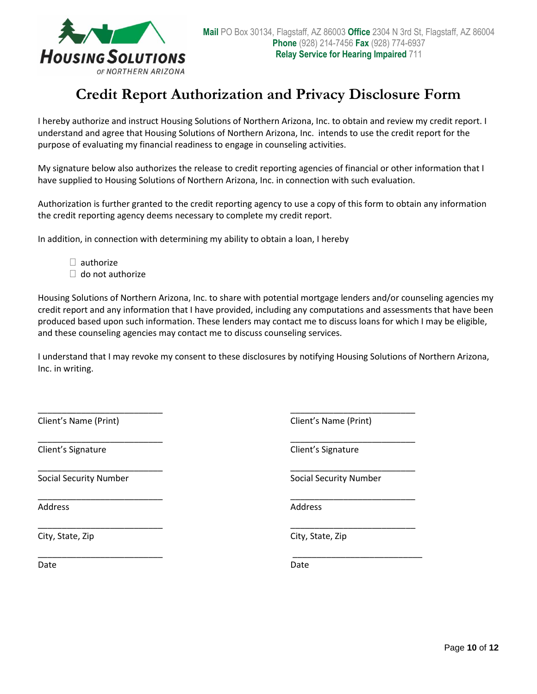

## **Credit Report Authorization and Privacy Disclosure Form**

I hereby authorize and instruct Housing Solutions of Northern Arizona, Inc. to obtain and review my credit report. I understand and agree that Housing Solutions of Northern Arizona, Inc. intends to use the credit report for the purpose of evaluating my financial readiness to engage in counseling activities.

My signature below also authorizes the release to credit reporting agencies of financial or other information that I have supplied to Housing Solutions of Northern Arizona, Inc. in connection with such evaluation.

Authorization is further granted to the credit reporting agency to use a copy of this form to obtain any information the credit reporting agency deems necessary to complete my credit report.

In addition, in connection with determining my ability to obtain a loan, I hereby

 $\Box$  authorize

 $\Box$  do not authorize

Housing Solutions of Northern Arizona, Inc. to share with potential mortgage lenders and/or counseling agencies my credit report and any information that I have provided, including any computations and assessments that have been produced based upon such information. These lenders may contact me to discuss loans for which I may be eligible, and these counseling agencies may contact me to discuss counseling services.

I understand that I may revoke my consent to these disclosures by notifying Housing Solutions of Northern Arizona, Inc. in writing.

\_\_\_\_\_\_\_\_\_\_\_\_\_\_\_\_\_\_\_\_\_\_\_\_\_\_ \_\_\_\_\_\_\_\_\_\_\_\_\_\_\_\_\_\_\_\_\_\_\_\_\_\_

\_\_\_\_\_\_\_\_\_\_\_\_\_\_\_\_\_\_\_\_\_\_\_\_\_\_ \_\_\_\_\_\_\_\_\_\_\_\_\_\_\_\_\_\_\_\_\_\_\_\_\_\_

\_\_\_\_\_\_\_\_\_\_\_\_\_\_\_\_\_\_\_\_\_\_\_\_\_\_ \_\_\_\_\_\_\_\_\_\_\_\_\_\_\_\_\_\_\_\_\_\_\_\_\_\_

\_\_\_\_\_\_\_\_\_\_\_\_\_\_\_\_\_\_\_\_\_\_\_\_\_\_ \_\_\_\_\_\_\_\_\_\_\_\_\_\_\_\_\_\_\_\_\_\_\_\_\_\_

\_\_\_\_\_\_\_\_\_\_\_\_\_\_\_\_\_\_\_\_\_\_\_\_\_\_ \_\_\_\_\_\_\_\_\_\_\_\_\_\_\_\_\_\_\_\_\_\_\_\_\_\_\_

Client's Name (Print) Client's Name (Print)

Client's Signature Client's Signature

Social Security Number **Social Security Number** Social Security Number

Address Address Address Address Address Address Address Address Address Address A

City, State, Zip City, State, Zip

\_\_\_\_\_\_\_\_\_\_\_\_\_\_\_\_\_\_\_\_\_\_\_\_\_\_ \_\_\_\_\_\_\_\_\_\_\_\_\_\_\_\_\_\_\_\_\_\_\_\_\_\_

Date **Date** Date **Date** Date **Date** Date **Date**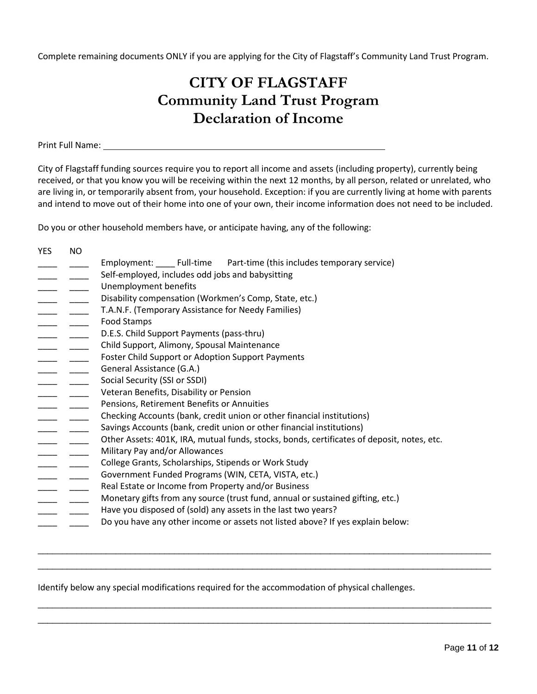Complete remaining documents ONLY if you are applying for the City of Flagstaff's Community Land Trust Program.

## **CITY OF FLAGSTAFF Community Land Trust Program Declaration of Income**

Print Full Name:

City of Flagstaff funding sources require you to report all income and assets (including property), currently being received, or that you know you will be receiving within the next 12 months, by all person, related or unrelated, who are living in, or temporarily absent from, your household. Exception: if you are currently living at home with parents and intend to move out of their home into one of your own, their income information does not need to be included.

Do you or other household members have, or anticipate having, any of the following:

YES NO Employment: Full-time Part-time (this includes temporary service) \_\_\_\_ \_\_\_\_ Self-employed, includes odd jobs and babysitting \_\_\_\_ \_\_\_\_\_ Unemployment benefits Disability compensation (Workmen's Comp, State, etc.) \_\_ \_\_\_\_ T.A.N.F. (Temporary Assistance for Needy Families) \_\_\_\_ \_\_\_\_ Food Stamps \_\_\_ \_\_\_\_\_ D.E.S. Child Support Payments (pass-thru) \_\_\_\_ \_\_\_\_ Child Support, Alimony, Spousal Maintenance \_ \_\_\_\_\_ Foster Child Support or Adoption Support Payments \_\_\_\_ \_\_\_\_ General Assistance (G.A.) Social Security (SSI or SSDI) **LETT LETT** Veteran Benefits, Disability or Pension Pensions, Retirement Benefits or Annuities <sub>\_\_\_</sub> \_\_\_\_\_ Checking Accounts (bank, credit union or other financial institutions) Savings Accounts (bank, credit union or other financial institutions) \_\_\_ \_\_\_\_\_ Other Assets: 401K, IRA, mutual funds, stocks, bonds, certificates of deposit, notes, etc. Military Pay and/or Allowances **\_\_\_\_\_** \_\_\_\_\_\_\_ College Grants, Scholarships, Stipends or Work Study Government Funded Programs (WIN, CETA, VISTA, etc.) Real Estate or Income from Property and/or Business Monetary gifts from any source (trust fund, annual or sustained gifting, etc.) Have you disposed of (sold) any assets in the last two years? Do you have any other income or assets not listed above? If yes explain below:

Identify below any special modifications required for the accommodation of physical challenges.

\_\_\_\_\_\_\_\_\_\_\_\_\_\_\_\_\_\_\_\_\_\_\_\_\_\_\_\_\_\_\_\_\_\_\_\_\_\_\_\_\_\_\_\_\_\_\_\_\_\_\_\_\_\_\_\_\_\_\_\_\_\_\_\_\_\_\_\_\_\_\_\_\_\_\_\_\_\_\_\_\_\_\_\_\_\_\_\_\_\_\_\_\_  $\Box$ 

\_\_\_\_\_\_\_\_\_\_\_\_\_\_\_\_\_\_\_\_\_\_\_\_\_\_\_\_\_\_\_\_\_\_\_\_\_\_\_\_\_\_\_\_\_\_\_\_\_\_\_\_\_\_\_\_\_\_\_\_\_\_\_\_\_\_\_\_\_\_\_\_\_\_\_\_\_\_\_\_\_\_\_\_\_\_\_\_\_\_\_\_\_  $\Box$